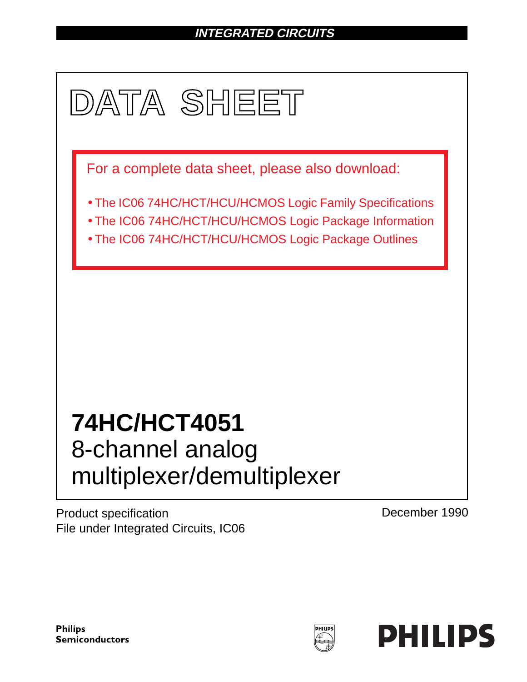# **INTEGRATED CIRCUITS**



Product specification File under Integrated Circuits, IC06 December 1990

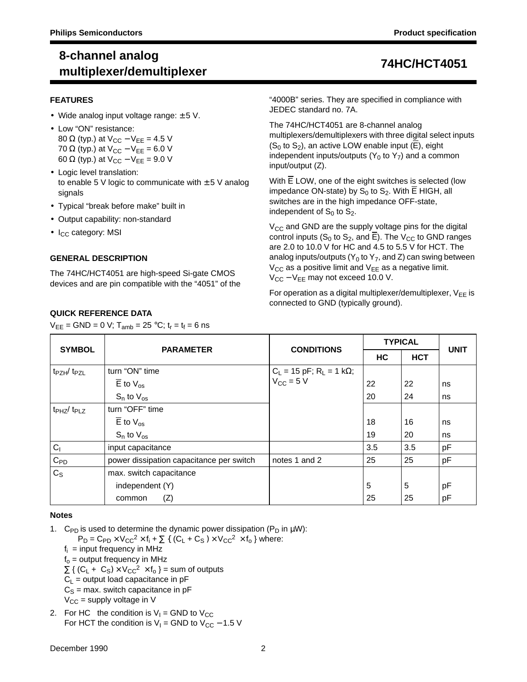### **FEATURES**

- Wide analog input voltage range:  $\pm$  5 V.
- Low "ON" resistance: 80  $\Omega$  (typ.) at V<sub>CC</sub> – V<sub>EE</sub> = 4.5 V 70  $\Omega$  (typ.) at  $V_{CC} - V_{EE} = 6.0 V$ 60  $\Omega$  (typ.) at V<sub>CC</sub> – V<sub>EE</sub> = 9.0 V
- Logic level translation: to enable 5 V logic to communicate with  $\pm$  5 V analog signals
- Typical "break before make" built in
- Output capability: non-standard
- $\bullet$  I<sub>CC</sub> category: MSI

### **GENERAL DESCRIPTION**

The 74HC/HCT4051 are high-speed Si-gate CMOS devices and are pin compatible with the "4051" of the

### **QUICK REFERENCE DATA**

 $V_{EE} = GND = 0 V; T_{amb} = 25 °C; t_r = t_f = 6 ns$ 

"4000B" series. They are specified in compliance with JEDEC standard no. 7A.

The 74HC/HCT4051 are 8-channel analog multiplexers/demultiplexers with three digital select inputs  $(S<sub>0</sub>$  to  $S<sub>2</sub>)$ , an active LOW enable input (E), eight independent inputs/outputs ( $Y_0$  to  $Y_7$ ) and a common input/output (Z).

With E LOW, one of the eight switches is selected (low impedance ON-state) by  $S_0$  to  $S_2$ . With  $\overline{E}$  HIGH, all switches are in the high impedance OFF-state, independent of  $S_0$  to  $S_2$ .

 $V_{CC}$  and GND are the supply voltage pins for the digital control inputs (S<sub>0</sub> to S<sub>2</sub>, and  $\overline{E}$ ). The V<sub>CC</sub> to GND ranges are 2.0 to 10.0 V for HC and 4.5 to 5.5 V for HCT. The analog inputs/outputs ( $Y_0$  to  $Y_7$ , and Z) can swing between  $V_{CC}$  as a positive limit and  $V_{EE}$  as a negative limit.  $V_{CC} - V_{EE}$  may not exceed 10.0 V.

For operation as a digital multiplexer/demultiplexer,  $V_{EE}$  is connected to GND (typically ground).

| <b>SYMBOL</b>                       | <b>PARAMETER</b>                         | <b>CONDITIONS</b>                                                         |     | <b>TYPICAL</b> | <b>UNIT</b> |
|-------------------------------------|------------------------------------------|---------------------------------------------------------------------------|-----|----------------|-------------|
|                                     |                                          |                                                                           | НC  | <b>HCT</b>     |             |
| $t_{PZH}/t_{PZL}$                   | turn "ON" time                           | $C_L = 15 \text{ pF}; R_L = 1 \text{ k}\Omega;$<br>$V_{CC} = 5 \text{ V}$ |     |                |             |
|                                     | $\overline{E}$ to $V_{\text{os}}$        |                                                                           | 22  | 22             | ns          |
|                                     | $S_n$ to $V_{\text{os}}$                 |                                                                           | 20  | 24             | ns          |
| t <sub>PHZ</sub> / t <sub>PLZ</sub> | turn "OFF" time                          |                                                                           |     |                |             |
|                                     | $\overline{E}$ to $V_{\text{os}}$        |                                                                           | 18  | 16             | ns          |
|                                     | $S_n$ to $V_{OS}$                        |                                                                           | 19  | 20             | ns          |
| C <sub>1</sub>                      | input capacitance                        |                                                                           | 3.5 | 3.5            | pF          |
| $C_{PD}$                            | power dissipation capacitance per switch | notes 1 and 2                                                             | 25  | 25             | pF          |
| $C_{S}$                             | max. switch capacitance                  |                                                                           |     |                |             |
|                                     | independent (Y)                          |                                                                           | 5   | 5              | pF          |
|                                     | (Z)<br>common                            |                                                                           | 25  | 25             | pF          |

### **Notes**

1. C<sub>PD</sub> is used to determine the dynamic power dissipation ( $P_D$  in  $\mu W$ ):

 $P_D = C_{PD} \times V_{CC}^2 \times f_i + \sum \{ (C_L + C_S) \times V_{CC}^2 \times f_0 \}$  where:

- $f_i$  = input frequency in MHz
- $f<sub>o</sub>$  = output frequency in MHz
- $\Sigma$  { (C<sub>L</sub> + C<sub>S</sub>) × V<sub>CC</sub><sup>2</sup> × f<sub>o</sub> } = sum of outputs
- $C_L$  = output load capacitance in pF
- $C<sub>S</sub>$  = max. switch capacitance in pF
- $V_{\text{CC}}$  = supply voltage in V
- 2. For HC the condition is  $V_1$  = GND to  $V_{CC}$ For HCT the condition is  $V_1$  = GND to  $V_{CC}$  – 1.5 V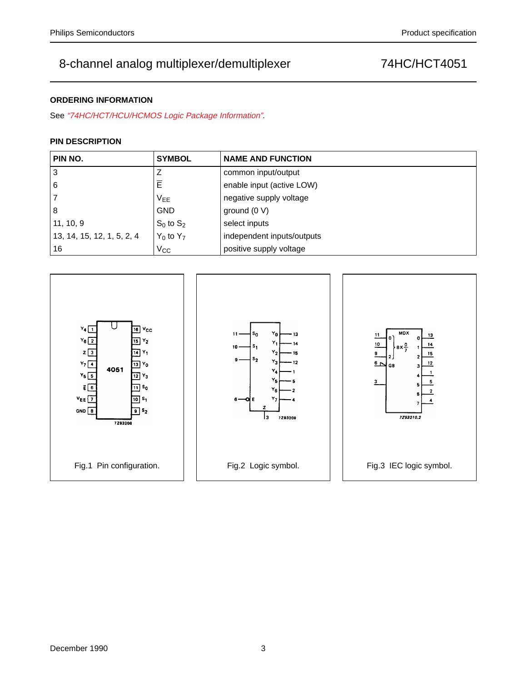### **ORDERING INFORMATION**

See "74HC/HCT/HCU/HCMOS Logic Package Information".

### **PIN DESCRIPTION**

| PIN NO.                    | <b>SYMBOL</b>  | <b>NAME AND FUNCTION</b>   |
|----------------------------|----------------|----------------------------|
| 3                          |                | common input/output        |
| 6                          | E              | enable input (active LOW)  |
| 7                          | $V_{EE}$       | negative supply voltage    |
| 8                          | <b>GND</b>     | ground $(0 V)$             |
| 11, 10, 9                  | $S_0$ to $S_2$ | select inputs              |
| 13, 14, 15, 12, 1, 5, 2, 4 | $Y_0$ to $Y_7$ | independent inputs/outputs |
| 16                         | $V_{\rm CC}$   | positive supply voltage    |

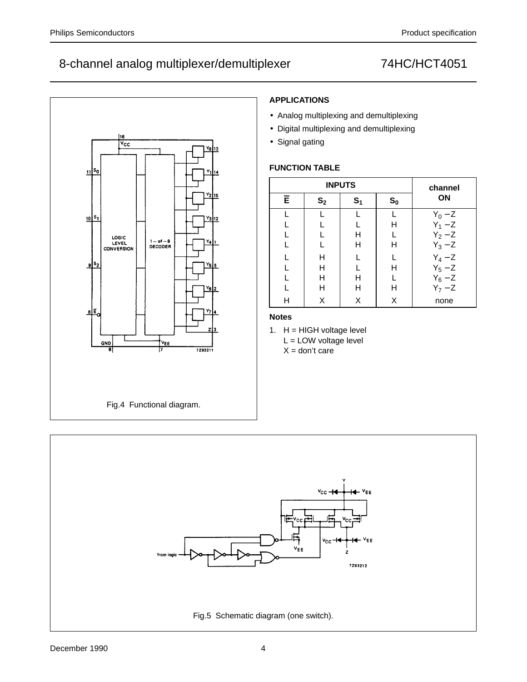

# **APPLICATIONS**

- Analog multiplexing and demultiplexing
- Digital multiplexing and demultiplexing
- Signal gating

## **FUNCTION TABLE**

|           |                | <b>INPUTS</b>  |       | channel                             |
|-----------|----------------|----------------|-------|-------------------------------------|
| $\bar{E}$ | S <sub>2</sub> | S <sub>1</sub> | $S_0$ | <b>ON</b>                           |
|           |                |                |       |                                     |
|           |                |                | н     | $Y_0 - Z$<br>$Y_1 - Z$<br>$Y_2 - Z$ |
| L         |                | н              |       |                                     |
|           |                | н              | Η     | $\overline{Y}_3 - \overline{Z}$     |
|           | н              |                |       | $Y_4-Z$                             |
|           | н              |                | Η     |                                     |
|           | н              | н              |       |                                     |
|           | н              | Н              | н     | $Y_5 - Z$<br>$Y_6 - Z$<br>$Y_7 - Z$ |
| Н         | X              | X              | X     | none                                |

## **Notes**

1.  $H = HIGH$  voltage level L = LOW voltage level  $X =$  don't care

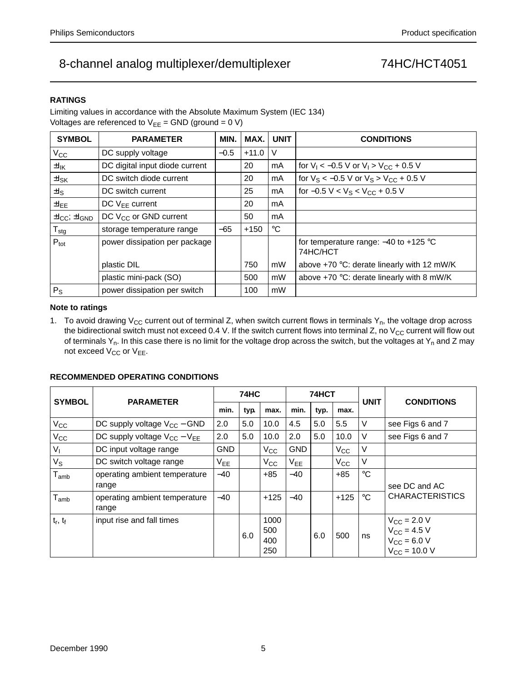### **RATINGS**

Limiting values in accordance with the Absolute Maximum System (IEC 134) Voltages are referenced to  $V_{EE}$  = GND (ground = 0 V)

| <b>SYMBOL</b>                        | <b>PARAMETER</b>                  | MIN.   | MAX.    | <b>UNIT</b> | <b>CONDITIONS</b>                                     |
|--------------------------------------|-----------------------------------|--------|---------|-------------|-------------------------------------------------------|
| $V_{\rm CC}$                         | DC supply voltage                 | $-0.5$ | $+11.0$ | V           |                                                       |
| $\pm I_{\mathsf{IK}}$                | DC digital input diode current    |        | 20      | mA          | for $V_1 < -0.5$ V or $V_1 > V_{CC} + 0.5$ V          |
| $\pm I_{SK}$                         | DC switch diode current           |        | 20      | mA          | for $V_S < -0.5$ V or $V_S > V_{CC} + 0.5$ V          |
| ±ls                                  | DC switch current                 |        | 25      | mA          | for $-0.5 V < V_S < V_{CC} + 0.5 V$                   |
| $\pm I_{EE}$                         | DC $V_{FF}$ current               |        | 20      | mA          |                                                       |
| $\pm I_{\rm CC}$ ; $\pm I_{\rm GND}$ | DC V <sub>CC</sub> or GND current |        | 50      | mA          |                                                       |
| ${\sf T}_{\sf stg}$                  | storage temperature range         | $-65$  | $+150$  | $^{\circ}C$ |                                                       |
| $P_{\text{tot}}$                     | power dissipation per package     |        |         |             | for temperature range: $-40$ to $+125$ °C<br>74HC/HCT |
|                                      | plastic DIL                       |        | 750     | mW          | above +70 °C: derate linearly with 12 mW/K            |
|                                      | plastic mini-pack (SO)            |        | 500     | mW          | above $+70$ °C: derate linearly with 8 mW/K           |
| $P_{\rm S}$                          | power dissipation per switch      |        | 100     | mW          |                                                       |

### **Note to ratings**

1. To avoid drawing  $V_{CC}$  current out of terminal Z, when switch current flows in terminals  $Y_{n}$ , the voltage drop across the bidirectional switch must not exceed 0.4 V. If the switch current flows into terminal Z, no  $V_{CC}$  current will flow out of terminals  $Y_n$ . In this case there is no limit for the voltage drop across the switch, but the voltages at  $Y_n$  and Z may not exceed  $V_{CC}$  or  $V_{EE}$ .

### **SYMBOL PARAMETER 74HC 74HCT UNIT CONDITIONS** min.  $|$  typ.  $|$  max.  $|$  min.  $|$  typ.  $|$  max.  $V_{\text{CC}}$  DC supply voltage V<sub>CC</sub> – GND 2.0 5.0 10.0 4.5 5.0 5.5 V see Figs 6 and 7  $V_{\text{CC}}$  DC supply voltage  $V_{\text{CC}} - V_{\text{EE}}$  2.0 5.0 10.0 2.0 5.0 10.0 V see Figs 6 and 7  $V_1$   $\vert$  DC input voltage range  $\vert$  GND  $\vert$   $\vert$   $V_{CC}$   $\vert$  GND  $\vert$   $\vert$   $V_{CC}$   $\vert$  V  $V_S$  DC switch voltage range  $\vert V_{EE} \vert$   $\vert V_{CC} \vert V_{EE} \vert$   $\vert V_{CC} \vert V$  $T<sub>amb</sub>$  | operating ambient temperature range −40 | | +85 | −40 | | +85 | °C see DC and AC  $T_{amb}$  operating ambient temperature  $\begin{vmatrix} -40 \end{vmatrix}$  +125  $\begin{vmatrix} -40 \end{vmatrix}$  +125  $\degree$ C CHARACTERISTICS  $+125$

### **RECOMMENDED OPERATING CONDITIONS**

range

 $t_r$ ,  $t_f$  | input rise and fall times

6.0

6.0  $|500|$  ns

 $V_{CC}$  = 2.0 V  $V_{CC}$  = 4.5 V  $V_{CC}$  = 6.0 V  $V_{CC}$  = 10.0 V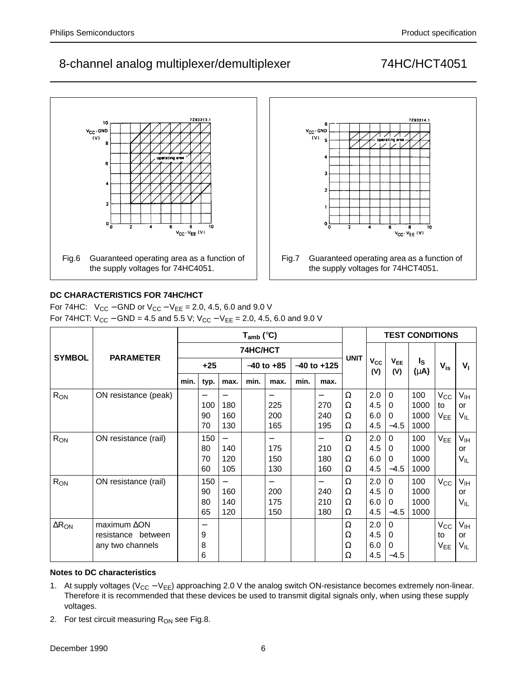Fig.7 Guaranteed operating area as a function of the supply voltages for 74HCT4051.

 $v_{\text{CC}}\cdot v_{\text{EE}}$  (V)

 $V_{CC}$ -GND

 $\{V\}$ 

 $\overline{\mathbf{3}}$  $\overline{2}$ 

o l



## **DC CHARACTERISTICS FOR 74HC/HCT**

For 74HC:  $V_{CC}$  – GND or  $V_{CC}$  –  $V_{EE}$  = 2.0, 4.5, 6.0 and 9.0 V For 74HCT:  $V_{CC}$  – GND = 4.5 and 5.5 V;  $V_{CC}$  –  $V_{EE}$  = 2.0, 4.5, 6.0 and 9.0 V

|                          |                                                               |      |                       |                   | $T_{amb}$ (°C) |                        |      |                        |                  | <b>TEST CONDITIONS</b>   |                                   |                             |                                       |                                          |
|--------------------------|---------------------------------------------------------------|------|-----------------------|-------------------|----------------|------------------------|------|------------------------|------------------|--------------------------|-----------------------------------|-----------------------------|---------------------------------------|------------------------------------------|
| <b>SYMBOL</b>            | <b>PARAMETER</b>                                              |      |                       |                   | 74HC/HCT       |                        |      |                        |                  |                          |                                   |                             |                                       |                                          |
|                          |                                                               |      | $+25$                 |                   |                | $-40$ to $+85$         |      | $-40$ to $+125$        | <b>UNIT</b>      | $V_{CC}$<br>(V)          | V <sub>EE</sub><br>(V)            | ls.<br>$(\mu A)$            | $V_{is}$                              | $V_{1}$                                  |
|                          |                                                               | min. | typ.                  | max.              | min.           | max.                   | min. | max.                   |                  |                          |                                   |                             |                                       |                                          |
| R <sub>ON</sub>          | ON resistance (peak)                                          |      | 100<br>90<br>70       | 180<br>160<br>130 |                | 225<br>200<br>165      |      | 270<br>240<br>195      | Ω<br>Ω<br>Ω<br>Ω | 2.0<br>4.5<br>6.0<br>4.5 | $\Omega$<br>0<br>$\Omega$<br>-4.5 | 100<br>1000<br>1000<br>1000 | $V_{\rm CC}$<br>to<br>$V_{EE}$        | V <sub>IH</sub><br>or<br>V <sub>IL</sub> |
| $R_{ON}$                 | ON resistance (rail)                                          |      | 150<br>80<br>70<br>60 | 140<br>120<br>105 |                | —<br>175<br>150<br>130 |      | —<br>210<br>180<br>160 | Ω<br>Ω<br>Ω<br>Ω | 2.0<br>4.5<br>6.0<br>4.5 | 0<br>0<br>0<br>-4.5               | 100<br>1000<br>1000<br>1000 | $V_{EE}$                              | $V_{\text{IH}}$<br>or<br>$V_{IL}$        |
| $R_{ON}$                 | ON resistance (rail)                                          |      | 150<br>90<br>80<br>65 | 160<br>140<br>120 |                | 200<br>175<br>150      |      | —<br>240<br>210<br>180 | Ω<br>Ω<br>Ω<br>Ω | 2.0<br>4.5<br>6.0<br>4.5 | $\Omega$<br>$\Omega$<br>0<br>-4.5 | 100<br>1000<br>1000<br>1000 | $V_{\rm CC}$                          | $V_{IH}$<br>or<br>$V_{IL}$               |
| $\Delta$ R <sub>ON</sub> | maximum $\Delta$ ON<br>resistance between<br>any two channels |      | 9<br>8<br>6           |                   |                |                        |      |                        | Ω<br>Ω<br>Ω<br>Ω | 2.0<br>4.5<br>6.0<br>4.5 | $\Omega$<br>0<br>0<br>$-4.5$      |                             | $\rm V_{CC}$<br>to<br>V <sub>EE</sub> | V <sub>IH</sub><br>or<br>VIL             |

## **Notes to DC characteristics**

- 1. At supply voltages (V<sub>CC</sub> − V<sub>EE</sub>) approaching 2.0 V the analog switch ON-resistance becomes extremely non-linear. Therefore it is recommended that these devices be used to transmit digital signals only, when using these supply voltages.
- 2. For test circuit measuring  $R_{ON}$  see Fig.8.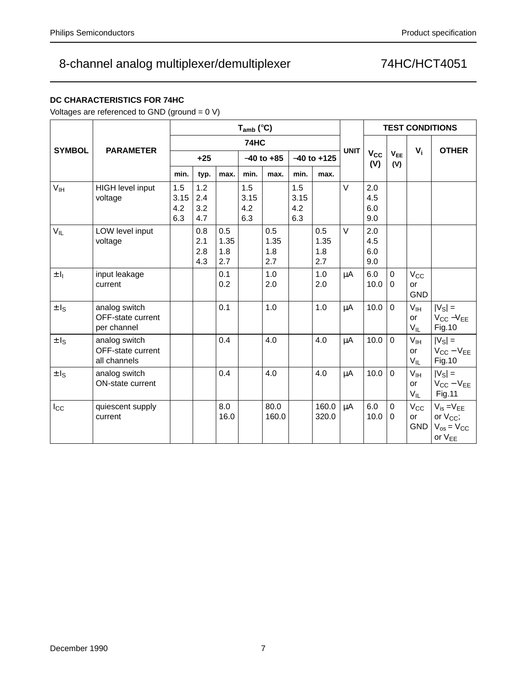## **DC CHARACTERISTICS FOR 74HC**

Voltages are referenced to GND (ground = 0 V)

|                      |                                                    |                           | $T_{amb}$ (°C)           |                           |                           |                           |                           |                           |             |                          | <b>TEST CONDITIONS</b>  |                                          |                                                                               |  |
|----------------------|----------------------------------------------------|---------------------------|--------------------------|---------------------------|---------------------------|---------------------------|---------------------------|---------------------------|-------------|--------------------------|-------------------------|------------------------------------------|-------------------------------------------------------------------------------|--|
| <b>SYMBOL</b>        | <b>PARAMETER</b>                                   |                           |                          |                           | 74HC                      |                           |                           |                           | <b>UNIT</b> |                          |                         |                                          | <b>OTHER</b>                                                                  |  |
|                      |                                                    |                           | $+25$                    |                           | $-40$ to $+85$            |                           | $-40$ to $+125$           |                           |             | $V_{CC}$<br>(V)          | V <sub>EE</sub><br>(V)  | $V_i$                                    |                                                                               |  |
|                      |                                                    | min.                      | typ.                     | max.                      | min.                      | max.                      | min.                      | max.                      |             |                          |                         |                                          |                                                                               |  |
| V <sub>IH</sub>      | HIGH level input<br>voltage                        | 1.5<br>3.15<br>4.2<br>6.3 | 1.2<br>2.4<br>3.2<br>4.7 |                           | 1.5<br>3.15<br>4.2<br>6.3 |                           | 1.5<br>3.15<br>4.2<br>6.3 |                           | $\vee$      | 2.0<br>4.5<br>6.0<br>9.0 |                         |                                          |                                                                               |  |
| $V_{IL}$             | LOW level input<br>voltage                         |                           | 0.8<br>2.1<br>2.8<br>4.3 | 0.5<br>1.35<br>1.8<br>2.7 |                           | 0.5<br>1.35<br>1.8<br>2.7 |                           | 0.5<br>1.35<br>1.8<br>2.7 | $\vee$      | 2.0<br>4.5<br>6.0<br>9.0 |                         |                                          |                                                                               |  |
| $\pm I_1$            | input leakage<br>current                           |                           |                          | 0.1<br>0.2                |                           | 1.0<br>2.0                |                           | 1.0<br>2.0                | μA          | 6.0<br>10.0              | $\mathbf 0$<br>$\Omega$ | $V_{\rm CC}$<br>or<br><b>GND</b>         |                                                                               |  |
| $\pm$ l <sub>S</sub> | analog switch<br>OFF-state current<br>per channel  |                           |                          | 0.1                       |                           | 1.0                       |                           | 1.0                       | μA          | 10.0                     | $\overline{0}$          | V <sub>IH</sub><br>or<br>$V_{IL}$        | $ V_{\rm S} $ =<br>$V_{CC} - V_{EE}$<br>Fig.10                                |  |
| $\pm$ I <sub>S</sub> | analog switch<br>OFF-state current<br>all channels |                           |                          | 0.4                       |                           | 4.0                       |                           | 4.0                       | $\mu$ A     | 10.0                     | $\Omega$                | V <sub>IH</sub><br>or<br>$V_{IL}$        | $ V_{\rm S}  =$<br>$V_{CC} - V_{EE}$<br><b>Fig.10</b>                         |  |
| $\pm I_S$            | analog switch<br>ON-state current                  |                           |                          | 0.4                       |                           | 4.0                       |                           | 4.0                       | μA          | 10.0                     | $\mathbf 0$             | V <sub>IH</sub><br><b>or</b><br>$V_{IL}$ | $ V_{\rm S} $ =<br>$V_{CC} - V_{EE}$<br><b>Fig.11</b>                         |  |
| $I_{\rm CC}$         | quiescent supply<br>current                        |                           |                          | 8.0<br>16.0               |                           | 80.0<br>160.0             |                           | 160.0<br>320.0            | μA          | 6.0<br>10.0              | 0<br>$\Omega$           | $V_{\rm CC}$<br>or<br><b>GND</b>         | $V_{is} = V_{EE}$<br>or V <sub>CC</sub> ;<br>$V_{os} = V_{CC}$<br>or $V_{EE}$ |  |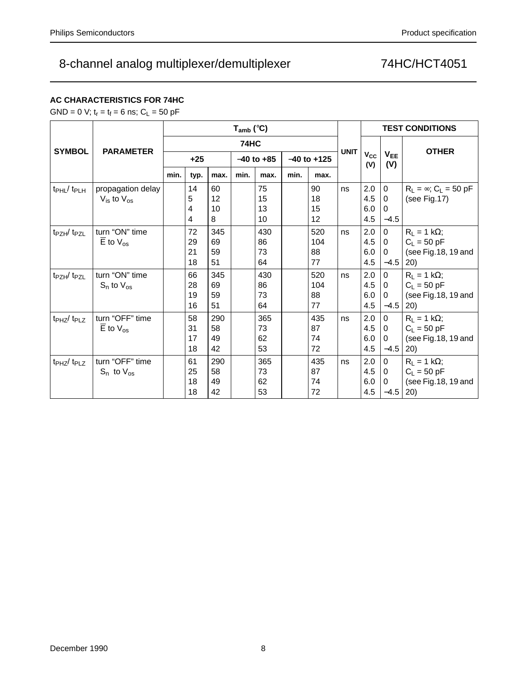# **AC CHARACTERISTICS FOR 74HC**

GND = 0 V;  $t_r = t_f = 6$  ns;  $C_L = 50$  pF

|                                    |                                                         |      |                      |                       | $T_{amb}$ (°C) |                       |      | <b>TEST CONDITIONS</b> |             |                          |                                               |                                                                     |
|------------------------------------|---------------------------------------------------------|------|----------------------|-----------------------|----------------|-----------------------|------|------------------------|-------------|--------------------------|-----------------------------------------------|---------------------------------------------------------------------|
| <b>SYMBOL</b>                      | <b>PARAMETER</b>                                        |      |                      |                       | 74HC           |                       |      |                        |             |                          |                                               | <b>OTHER</b>                                                        |
|                                    |                                                         |      | $+25$                |                       |                | $-40$ to $+85$        |      | $-40$ to $+125$        | <b>UNIT</b> | $V_{CC}$<br>(V)          | V <sub>EE</sub><br>(V)                        |                                                                     |
|                                    |                                                         | min. | typ.                 | max.                  | min.           | max.                  | min. | max.                   |             |                          |                                               |                                                                     |
| t <sub>PHL</sub> /t <sub>PLH</sub> | propagation delay<br>$V_{\text{is}}$ to $V_{\text{os}}$ |      | 14<br>5<br>4<br>4    | 60<br>12<br>10<br>8   |                | 75<br>15<br>13<br>10  |      | 90<br>18<br>15<br>12   | ns          | 2.0<br>4.5<br>6.0<br>4.5 | $\mathbf 0$<br>$\Omega$<br>$\Omega$<br>$-4.5$ | $R_1 = \infty$ ; C <sub>1</sub> = 50 pF<br>(see Fig.17)             |
| t <sub>PZH</sub> /t <sub>PZL</sub> | turn "ON" time<br>$\overline{E}$ to $V_{\text{os}}$     |      | 72<br>29<br>21<br>18 | 345<br>69<br>59<br>51 |                | 430<br>86<br>73<br>64 |      | 520<br>104<br>88<br>77 | ns          | 2.0<br>4.5<br>6.0<br>4.5 | $\Omega$<br>$\Omega$<br>$\Omega$<br>$-4.5$    | $R_L = 1 k\Omega$ ;<br>$C_L = 50 pF$<br>(see Fig.18, 19 and<br>(20) |
| t <sub>PZH</sub> /t <sub>PZL</sub> | turn "ON" time<br>$S_n$ to $V_{OS}$                     |      | 66<br>28<br>19<br>16 | 345<br>69<br>59<br>51 |                | 430<br>86<br>73<br>64 |      | 520<br>104<br>88<br>77 | ns          | 2.0<br>4.5<br>6.0<br>4.5 | $\Omega$<br>$\Omega$<br>$\Omega$<br>$-4.5$    | $R_L = 1 k\Omega$ ;<br>$C_L$ = 50 pF<br>(see Fig.18, 19 and<br>(20) |
| t <sub>PHZ</sub> /t <sub>PLZ</sub> | turn "OFF" time<br>$\overline{E}$ to $V_{OS}$           |      | 58<br>31<br>17<br>18 | 290<br>58<br>49<br>42 |                | 365<br>73<br>62<br>53 |      | 435<br>87<br>74<br>72  | ns          | 2.0<br>4.5<br>6.0<br>4.5 | $\Omega$<br>$\Omega$<br>$\Omega$<br>$-4.5$    | $R_1 = 1 k\Omega$ ;<br>$C_L = 50$ pF<br>(see Fig.18, 19 and<br>20)  |
| t <sub>PHZ</sub> /t <sub>PLZ</sub> | turn "OFF" time<br>$S_n$ to $V_{\text{os}}$             |      | 61<br>25<br>18<br>18 | 290<br>58<br>49<br>42 |                | 365<br>73<br>62<br>53 |      | 435<br>87<br>74<br>72  | ns          | 2.0<br>4.5<br>6.0<br>4.5 | $\Omega$<br>$\Omega$<br>$\Omega$<br>$-4.5$    | $R_L = 1 k\Omega$ ;<br>$C_L = 50$ pF<br>(see Fig.18, 19 and<br>(20) |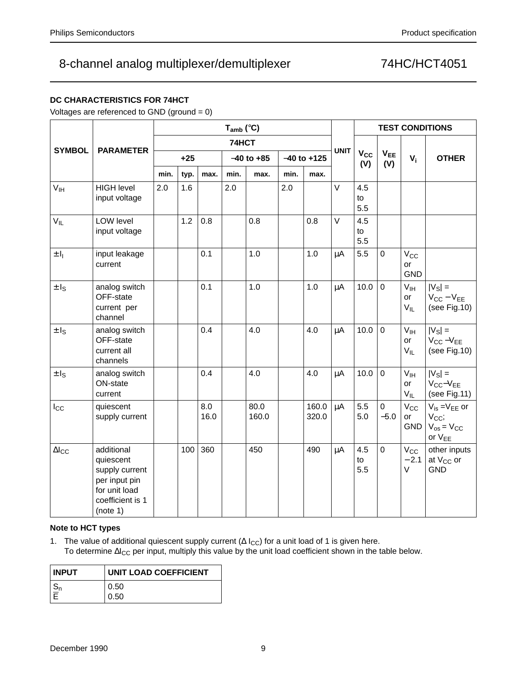# **DC CHARACTERISTICS FOR 74HCT**

Voltages are referenced to GND (ground = 0)

|                   |                                                                                                             |      |       |             | $T_{amb}$ (°C) |                |                 |                |             |                  | <b>TEST CONDITIONS</b> |                                   |                                                                             |
|-------------------|-------------------------------------------------------------------------------------------------------------|------|-------|-------------|----------------|----------------|-----------------|----------------|-------------|------------------|------------------------|-----------------------------------|-----------------------------------------------------------------------------|
|                   |                                                                                                             |      |       |             | 74HCT          |                |                 |                |             |                  |                        |                                   |                                                                             |
| <b>SYMBOL</b>     | <b>PARAMETER</b>                                                                                            |      | $+25$ |             |                | $-40$ to $+85$ | $-40$ to $+125$ |                | <b>UNIT</b> | $V_{CC}$<br>(V)  | V <sub>EE</sub><br>(V) | $V_i$                             | <b>OTHER</b>                                                                |
|                   |                                                                                                             | min. | typ.  | max.        | min.           | max.           | min.            | max.           |             |                  |                        |                                   |                                                                             |
| V <sub>IH</sub>   | <b>HIGH level</b><br>input voltage                                                                          | 2.0  | 1.6   |             | 2.0            |                | 2.0             |                | $\vee$      | 4.5<br>to<br>5.5 |                        |                                   |                                                                             |
| $V_{IL}$          | LOW level<br>input voltage                                                                                  |      | 1.2   | 0.8         |                | 0.8            |                 | 0.8            | $\vee$      | 4.5<br>to<br>5.5 |                        |                                   |                                                                             |
| $\pm I_1$         | input leakage<br>current                                                                                    |      |       | 0.1         |                | 1.0            |                 | 1.0            | μA          | 5.5              | 0                      | $V_{\rm CC}$<br>or<br><b>GND</b>  |                                                                             |
| $\pm$ $I_{\rm S}$ | analog switch<br>OFF-state<br>current per<br>channel                                                        |      |       | 0.1         |                | 1.0            |                 | 1.0            | μA          | 10.0             | $\mathbf 0$            | $V_{\text{IH}}$<br>or<br>$V_{IL}$ | $ V_{S} $ =<br>$V_{CC} - V_{EE}$<br>(see Fig.10)                            |
| $\pm I_S$         | analog switch<br>OFF-state<br>current all<br>channels                                                       |      |       | 0.4         |                | 4.0            |                 | 4.0            | μA          | 10.0             | $\mathbf 0$            | $V_{\text{IH}}$<br>or<br>$V_{IL}$ | $ V_{\rm S} $ =<br>$V_{CC} - V_{EE}$<br>(see Fig.10)                        |
| $\pm I_S$         | analog switch<br>ON-state<br>current                                                                        |      |       | 0.4         |                | 4.0            |                 | 4.0            | μA          | 10.0             | $\mathbf 0$            | $V_{IH}$<br>or<br>$V_{IL}$        | $ V_{\rm S} $ =<br>$V_{CC}-V_{EE}$<br>(see Fig.11)                          |
| $I_{\rm CC}$      | quiescent<br>supply current                                                                                 |      |       | 8.0<br>16.0 |                | 80.0<br>160.0  |                 | 160.0<br>320.0 | $\mu$ A     | 5.5<br>5.0       | 0<br>$-5.0$            | $V_{\rm CC}$<br>or<br><b>GND</b>  | $V_{is} = V_{EE}$ or<br>$V_{CC}$<br>$V_{os} = V_{CC}$<br>or V <sub>EE</sub> |
| $\Delta I_{CC}$   | additional<br>quiescent<br>supply current<br>per input pin<br>for unit load<br>coefficient is 1<br>(note 1) |      | 100   | 360         |                | 450            |                 | 490            | μA          | 4.5<br>to<br>5.5 | $\mathbf 0$            | $V_{\rm CC}$<br>$-2.1$<br>V       | other inputs<br>at $V_{CC}$ or<br><b>GND</b>                                |

## **Note to HCT types**

1. The value of additional quiescent supply current ( $\Delta I_{CC}$ ) for a unit load of 1 is given here. To determine ∆I<sub>CC</sub> per input, multiply this value by the unit load coefficient shown in the table below.

| <b>INPUT</b> | <b>UNIT LOAD COEFFICIENT</b> |
|--------------|------------------------------|
|              | 0.50                         |
|              | 0.50                         |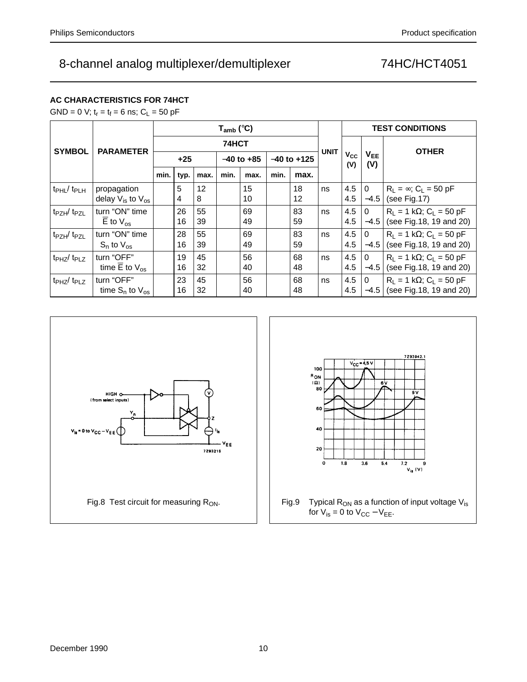# **AC CHARACTERISTICS FOR 74HCT**

GND = 0 V;  $t_r = t_f = 6$  ns;  $C_L = 50$  pF

|                                    |                                                      |      |          |          | $T_{amb}$ (°C) |          |                 |          | <b>TEST CONDITIONS</b> |                 |                        |                                                                               |  |
|------------------------------------|------------------------------------------------------|------|----------|----------|----------------|----------|-----------------|----------|------------------------|-----------------|------------------------|-------------------------------------------------------------------------------|--|
| <b>SYMBOL</b>                      | <b>PARAMETER</b>                                     |      |          |          | 74HCT          |          |                 |          |                        |                 |                        | <b>OTHER</b>                                                                  |  |
|                                    |                                                      |      | $+25$    |          | $-40$ to $+85$ |          | $-40$ to $+125$ |          | <b>UNIT</b>            | $V_{CC}$<br>(V) | V <sub>EE</sub><br>(V) |                                                                               |  |
|                                    |                                                      | min. | typ.     | max.     | min.           | max.     | min.            | max.     |                        |                 |                        |                                                                               |  |
| $t_{\rm PHL}$ / $t_{\rm PLH}$      | propagation<br>delay $V_{is}$ to $V_{os}$            |      | 5<br>4   | 12<br>8  |                | 15<br>10 |                 | 18<br>12 | ns                     | 4.5<br>4.5      | $\Omega$<br>$-4.5$     | $R_L = \infty$ ; $C_L = 50$ pF<br>(see Fig.17)                                |  |
| t <sub>PZH</sub> /t <sub>PZL</sub> | turn "ON" time<br>$\overline{E}$ to $V_{\text{os}}$  |      | 26<br>16 | 55<br>39 |                | 69<br>49 |                 | 83<br>59 | ns                     | 4.5<br>4.5      | $\Omega$<br>$-4.5$     | $R_L = 1 k\Omega$ ; C <sub>L</sub> = 50 pF<br>(see Fig.18, 19 and 20)         |  |
| $tpzH$ $tpzL$                      | turn "ON" time<br>$S_n$ to $V_{\text{os}}$           |      | 28<br>16 | 55<br>39 |                | 69<br>49 |                 | 83<br>59 | ns                     | 4.5<br>4.5      | $\Omega$<br>$-4.5$     | $R_1 = 1 k\Omega$ ; C <sub>L</sub> = 50 pF<br>(see Fig.18, 19 and 20)         |  |
| t <sub>PHZ</sub> /t <sub>PLZ</sub> | turn "OFF"<br>time $\overline{E}$ to $V_{\text{os}}$ |      | 19<br>16 | 45<br>32 |                | 56<br>40 |                 | 68<br>48 | ns                     | 4.5<br>4.5      | $\Omega$<br>$-4.5$     | $R_1 = 1 k\Omega$ ; C <sub>L</sub> = 50 pF<br>(see Fig.18, 19 and 20)         |  |
| t <sub>PHZ</sub> /t <sub>PLZ</sub> | turn "OFF"<br>time $S_n$ to $V_{\text{os}}$          |      | 23<br>16 | 45<br>32 |                | 56<br>40 |                 | 68<br>48 | ns                     | 4.5<br>4.5      | 0                      | $R_1 = 1 k\Omega$ ; C <sub>L</sub> = 50 pF<br>$-4.5$ (see Fig. 18, 19 and 20) |  |



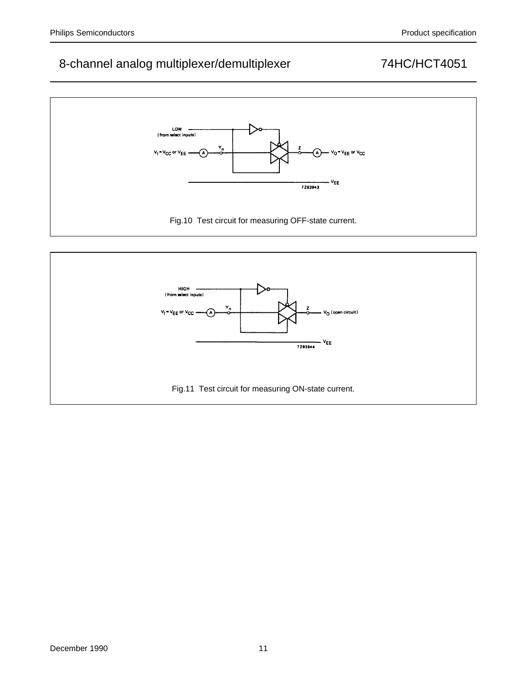

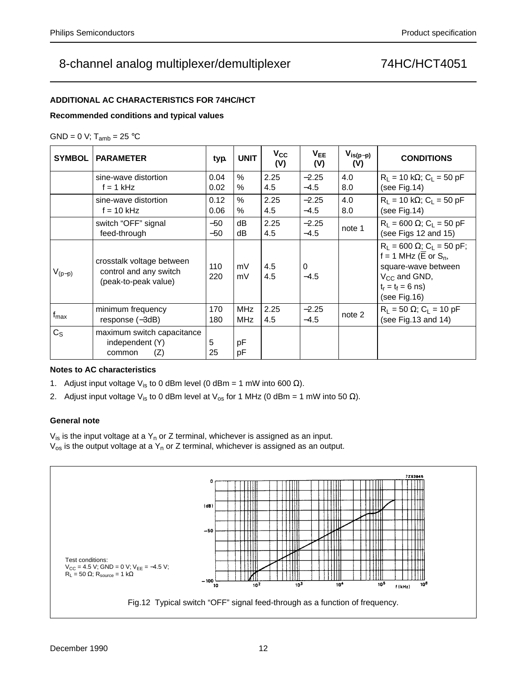## **ADDITIONAL AC CHARACTERISTICS FOR 74HC/HCT**

### **Recommended conditions and typical values**

## GND = 0 V;  $T_{amb}$  = 25 °C

| <b>SYMBOL</b>    | <b>PARAMETER</b>                                                            | typ.         | <b>UNIT</b>              | $V_{CC}$<br>(V) | $V_{EE}$<br>(V)    | $V_{is(p-p)}$<br>(V) | <b>CONDITIONS</b>                                                                                                                                            |
|------------------|-----------------------------------------------------------------------------|--------------|--------------------------|-----------------|--------------------|----------------------|--------------------------------------------------------------------------------------------------------------------------------------------------------------|
|                  | sine-wave distortion<br>$f = 1$ kHz                                         | 0.04<br>0.02 | $\%$<br>$\%$             | 2.25<br>4.5     | $-2.25$<br>$-4.5$  | 4.0<br>8.0           | $R_1 = 10 k\Omega$ ; C <sub>1</sub> = 50 pF<br>(see Fig.14)                                                                                                  |
|                  | sine-wave distortion<br>$f = 10$ kHz                                        | 0.12<br>0.06 | %<br>$\%$                | 2.25<br>4.5     | $-2.25$<br>$-4.5$  | 4.0<br>8.0           | $R_1 = 10 k\Omega$ ; C <sub>1</sub> = 50 pF<br>(see Fig.14)                                                                                                  |
|                  | switch "OFF" signal<br>feed-through                                         | -50<br>-50   | dB<br>dB                 | 2.25<br>4.5     | $-2.25$<br>$-4.5$  | note 1               | $R_L = 600 \Omega$ ; C <sub>L</sub> = 50 pF<br>(see Figs 12 and 15)                                                                                          |
| $V_{(p-p)}$      | crosstalk voltage between<br>control and any switch<br>(peak-to-peak value) | 110<br>220   | mV<br>mV                 | 4.5<br>4.5      | $\Omega$<br>$-4.5$ |                      | $R_L = 600 \Omega$ ; C <sub>L</sub> = 50 pF;<br>$f = 1$ MHz (E or $S_n$ ,<br>square-wave between<br>$V_{CC}$ and GND,<br>$t_r = t_f = 6$ ns)<br>(see Fig.16) |
| $f_{\text{max}}$ | minimum frequency<br>response $(-3dB)$                                      | 170<br>180   | <b>MHz</b><br><b>MHz</b> | 2.25<br>4.5     | $-2.25$<br>$-4.5$  | note 2               | $R_L = 50 \Omega$ ; C <sub>L</sub> = 10 pF<br>(see Fig. $13$ and $14$ )                                                                                      |
| $C_S$            | maximum switch capacitance<br>independent (Y)<br>(Z)<br>common              | 5<br>25      | pF<br>pF                 |                 |                    |                      |                                                                                                                                                              |

## **Notes to AC characteristics**

- 1. Adjust input voltage V<sub>is</sub> to 0 dBm level (0 dBm = 1 mW into 600 Ω).
- 2. Adjust input voltage V<sub>is</sub> to 0 dBm level at V<sub>os</sub> for 1 MHz (0 dBm = 1 mW into 50  $\Omega$ ).

### **General note**

 $V_{is}$  is the input voltage at a  $Y_n$  or Z terminal, whichever is assigned as an input.  $V_{os}$  is the output voltage at a  $Y_n$  or Z terminal, whichever is assigned as an output.

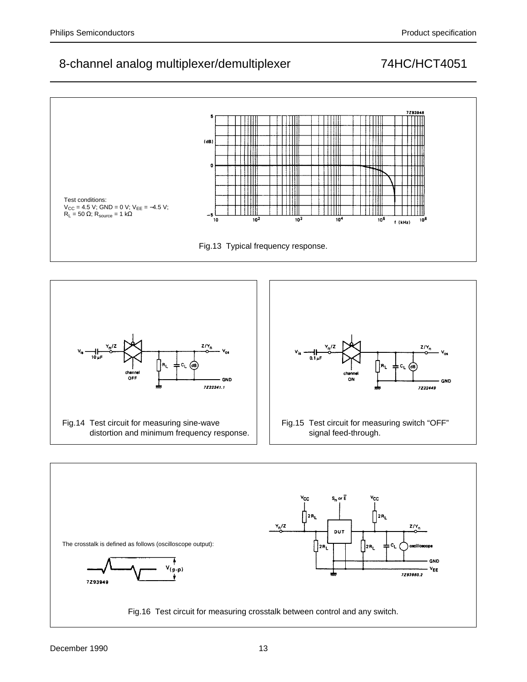

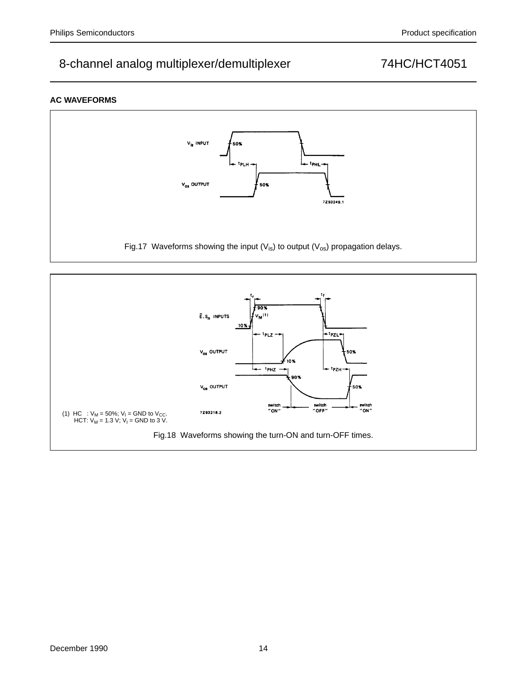## **AC WAVEFORMS**



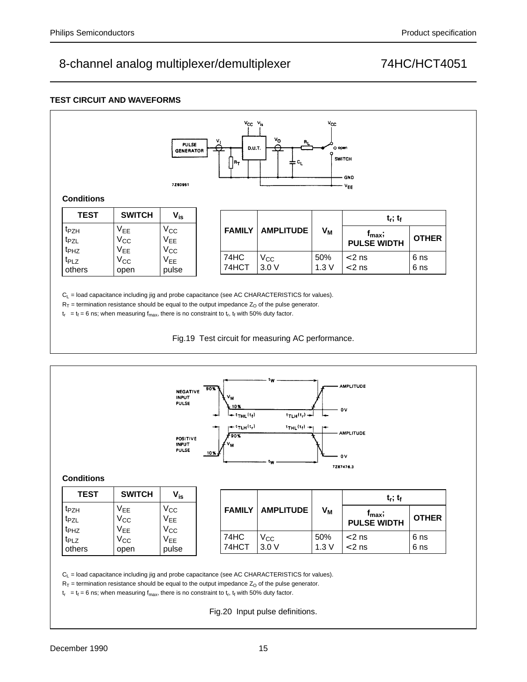## **TEST CIRCUIT AND WAVEFORMS**

| <b>Conditions</b>                                        |                                          | <b>PULSE</b><br><b>GENERATOR</b><br>7293951 | 씃<br>ᆓ | $V_{CC}$ $V_{is}$<br>D.U.T.<br>¦R⊤ | V <sub>O</sub><br>$R_{L}$<br>ॼ<br>≑ <sup>c</sup> | $v_{\rm cc}$<br>O open | <b>SWITCH</b><br>- GND<br>$V_{EE}$       |              |
|----------------------------------------------------------|------------------------------------------|---------------------------------------------|--------|------------------------------------|--------------------------------------------------|------------------------|------------------------------------------|--------------|
| <b>TEST</b>                                              | <b>SWITCH</b>                            | $V_{is}$                                    |        |                                    |                                                  |                        | $t_r$ ; $t_f$                            |              |
| t <sub>PZH</sub><br>t <sub>PZL</sub><br>t <sub>PHZ</sub> | <b>VEE</b><br>$V_{\rm CC}$<br><b>VEE</b> | $V_{\rm CC}$<br>$V_{EE}$<br>$V_{CC}$        |        | <b>FAMILY</b>                      | <b>AMPLITUDE</b>                                 | V <sub>M</sub>         | $f_{\text{max}}$ ;<br><b>PULSE WIDTH</b> | <b>OTHER</b> |
| t <sub>PLZ</sub><br>others                               | $V_{\rm CC}$<br>open                     | V <sub>EE</sub><br>pulse                    |        | 74HC<br>74HCT                      | $V_{CC}$<br>3.0V                                 | 50%<br>1.3V            | $< 2$ ns<br>$< 2$ ns                     | 6 ns<br>6 ns |

 $C_L$  = load capacitance including jig and probe capacitance (see AC CHARACTERISTICS for values).

 $R_T$  = termination resistance should be equal to the output impedance  $Z<sub>O</sub>$  of the pulse generator.

 $t_r = t_f = 6$  ns; when measuring  $f_{max}$ , there is no constraint to  $t_r$ ,  $t_f$  with 50% duty factor.

Fig.19 Test circuit for measuring AC performance.



 $R_T$  = termination resistance should be equal to the output impedance  $Z<sub>O</sub>$  of the pulse generator.

 $t_r = t_f = 6$  ns; when measuring  $f_{max}$ , there is no constraint to  $t_r$ ,  $t_f$  with 50% duty factor.

Fig.20 Input pulse definitions.